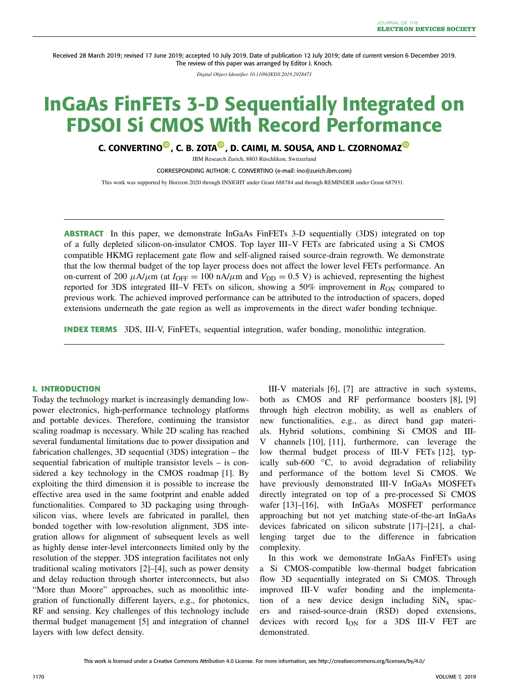Received 28 March 2019; revised 17 June 2019; accepted 10 July 2019. Date of publication 12 July 2019; date of current version 6 December 2019. The review of this paper was arranged by Editor J. Knoch.

*Digital Object Identifier 10.1109/JEDS.2019.2928471*

# **InGaAs FinFETs 3-D Sequentially Integrated on FDSOI Si CMOS With Record Performance**

**C. CONVERTIN[O](https://orcid.org/0000-0002-7842-6066) , C. B. ZOTA [,](https://orcid.org/0000-0001-6843-2131) D. CAIMI, M. SOUSA, AND L. CZORNOMA[Z](https://orcid.org/0000-0002-2239-6961)**

IBM Research Zurich, 8803 Rüschlikon, Switzerland

CORRESPONDING AUTHOR: C. CONVERTINO (e-mail: ino@zurich.ibm.com)

This work was supported by Horizon 2020 through INSIGHT under Grant 688784 and through REMINDER under Grant 687931.

**ABSTRACT** In this paper, we demonstrate InGaAs FinFETs 3-D sequentially (3DS) integrated on top of a fully depleted silicon-on-insulator CMOS. Top layer III–V FETs are fabricated using a Si CMOS compatible HKMG replacement gate flow and self-aligned raised source-drain regrowth. We demonstrate that the low thermal budget of the top layer process does not affect the lower level FETs performance. An on-current of 200  $\mu$ A/ $\mu$ m (at  $I_{\text{OFF}} = 100$  nA/ $\mu$ m and  $V_{\text{DD}} = 0.5$  V) is achieved, representing the highest reported for 3DS integrated III–V FETs on silicon, showing a 50% improvement in  $R_{ON}$  compared to previous work. The achieved improved performance can be attributed to the introduction of spacers, doped extensions underneath the gate region as well as improvements in the direct wafer bonding technique.

**INDEX TERMS** 3DS, III-V, FinFETs, sequential integration, wafer bonding, monolithic integration.

## **I. INTRODUCTION**

Today the technology market is increasingly demanding lowpower electronics, high-performance technology platforms and portable devices. Therefore, continuing the transistor scaling roadmap is necessary. While 2D scaling has reached several fundamental limitations due to power dissipation and fabrication challenges, 3D sequential (3DS) integration – the sequential fabrication of multiple transistor levels – is considered a key technology in the CMOS roadmap [\[1\]](#page-4-0). By exploiting the third dimension it is possible to increase the effective area used in the same footprint and enable added functionalities. Compared to 3D packaging using throughsilicon vias, where levels are fabricated in parallel, then bonded together with low-resolution alignment, 3DS integration allows for alignment of subsequent levels as well as highly dense inter-level interconnects limited only by the resolution of the stepper. 3DS integration facilitates not only traditional scaling motivators [\[2\]](#page-4-1)–[\[4\]](#page-4-2), such as power density and delay reduction through shorter interconnects, but also "More than Moore" approaches, such as monolithic integration of functionally different layers, e.g., for photonics, RF and sensing. Key challenges of this technology include thermal budget management [\[5\]](#page-4-3) and integration of channel layers with low defect density.

III-V materials [\[6\]](#page-4-4), [\[7\]](#page-4-5) are attractive in such systems, both as CMOS and RF performance boosters [\[8\]](#page-4-6), [\[9\]](#page-4-7) through high electron mobility, as well as enablers of new functionalities, e.g., as direct band gap materials. Hybrid solutions, combining Si CMOS and III-V channels [\[10\]](#page-4-8), [\[11\]](#page-4-9), furthermore, can leverage the low thermal budget process of III-V FETs [\[12\]](#page-4-10), typically sub-600 ◦C, to avoid degradation of reliability and performance of the bottom level Si CMOS. We have previously demonstrated III-V InGaAs MOSFETs directly integrated on top of a pre-processed Si CMOS wafer [\[13\]](#page-4-11)-[\[16\]](#page-4-12), with InGaAs MOSFET performance approaching but not yet matching state-of-the-art InGaAs devices fabricated on silicon substrate [\[17\]](#page-4-13)–[\[21\]](#page-4-14), a challenging target due to the difference in fabrication complexity.

In this work we demonstrate InGaAs FinFETs using a Si CMOS-compatible low-thermal budget fabrication flow 3D sequentially integrated on Si CMOS. Through improved III-V wafer bonding and the implementation of a new device design including  $\text{SiN}_x$  spacers and raised-source-drain (RSD) doped extensions, devices with record I<sub>ON</sub> for a 3DS III-V FET are demonstrated.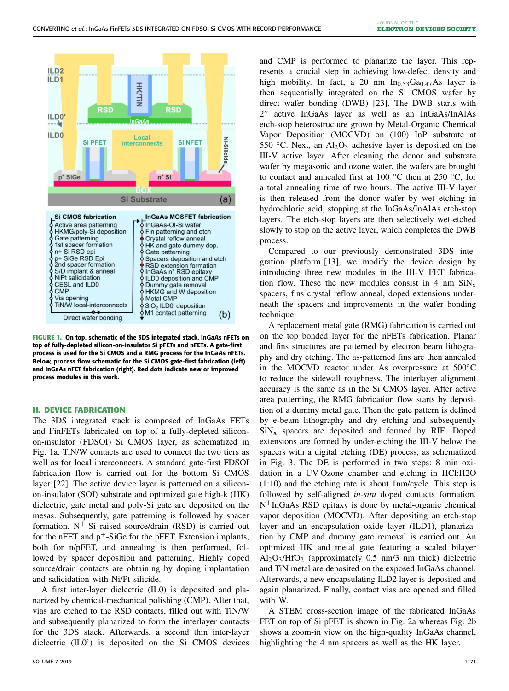

<span id="page-1-0"></span>**FIGURE 1. On top, schematic of the 3DS integrated stack, InGaAs nFETs on top of fully-depleted silicon-on-insulator Si pFETs and nFETs. A gate-first process is used for the Si CMOS and a RMG process for the InGaAs nFETs. Below, process flow schematic for the Si CMOS gate-first fabrication (left) and InGaAs nFET fabrication (right). Red dots indicate new or improved process modules in this work.**

#### **II. DEVICE FABRICATION**

The 3DS integrated stack is composed of InGaAs FETs and FinFETs fabricated on top of a fully-depleted siliconon-insulator (FDSOI) Si CMOS layer, as schematized in Fig. [1a](#page-1-0). TiN/W contacts are used to connect the two tiers as well as for local interconnects. A standard gate-first FDSOI fabrication flow is carried out for the bottom Si CMOS layer [\[22\]](#page-4-15). The active device layer is patterned on a siliconon-insulator (SOI) substrate and optimized gate high-k (HK) dielectric, gate metal and poly-Si gate are deposited on the mesas. Subsequently, gate patterning is followed by spacer formation. N+-Si raised source/drain (RSD) is carried out for the nFET and  $p^+$ -SiGe for the pFET. Extension implants, both for n/pFET, and annealing is then performed, followed by spacer deposition and patterning. Highly doped source/drain contacts are obtaining by doping implantation and salicidation with Ni/Pt silicide.

A first inter-layer dielectric (IL0) is deposited and planarized by chemical-mechanical polishing (CMP). After that, vias are etched to the RSD contacts, filled out with TiN/W and subsequently planarized to form the interlayer contacts for the 3DS stack. Afterwards, a second thin inter-layer dielectric (IL0') is deposited on the Si CMOS devices and CMP is performed to planarize the layer. This represents a crucial step in achieving low-defect density and high mobility. In fact, a 20 nm  $In<sub>0.53</sub>Ga<sub>0.47</sub>As$  layer is then sequentially integrated on the Si CMOS wafer by direct wafer bonding (DWB) [\[23\]](#page-4-16). The DWB starts with 2" active InGaAs layer as well as an InGaAs/InAlAs etch-stop heterostructure grown by Metal-Organic Chemical Vapor Deposition (MOCVD) on (100) InP substrate at 550 °C. Next, an  $\text{Al}_2\text{O}_3$  adhesive layer is deposited on the III-V active layer. After cleaning the donor and substrate wafer by megasonic and ozone water, the wafers are brought to contact and annealed first at 100  $\degree$ C then at 250  $\degree$ C, for a total annealing time of two hours. The active III-V layer is then released from the donor wafer by wet etching in hydrochloric acid, stopping at the InGaAs/InAlAs etch-stop layers. The etch-stop layers are then selectively wet-etched slowly to stop on the active layer, which completes the DWB process.

Compared to our previously demonstrated 3DS integration platform [\[13\]](#page-4-11), we modify the device design by introducing three new modules in the III-V FET fabrication flow. These the new modules consist in 4 nm  $\text{SiN}_x$ spacers, fins crystal reflow anneal, doped extensions underneath the spacers and improvements in the wafer bonding technique.

A replacement metal gate (RMG) fabrication is carried out on the top bonded layer for the nFETs fabrication. Planar and fins structures are patterned by electron beam lithography and dry etching. The as-patterned fins are then annealed in the MOCVD reactor under As overpressure at 500◦C to reduce the sidewall roughness. The interlayer alignment accuracy is the same as in the Si CMOS layer. After active area patterning, the RMG fabrication flow starts by deposition of a dummy metal gate. Then the gate pattern is defined by e-beam lithography and dry etching and subsequently  $\text{SiN}_x$  spacers are deposited and formed by RIE. Doped extensions are formed by under-etching the III-V below the spacers with a digital etching (DE) process, as schematized in Fig. [3.](#page-2-0) The DE is performed in two steps: 8 min oxidation in a UV-Ozone chamber and etching in HCl:H2O (1:10) and the etching rate is about 1nm/cycle. This step is followed by self-aligned *in-situ* doped contacts formation. N+InGaAs RSD epitaxy is done by metal-organic chemical vapor deposition (MOCVD). After depositing an etch-stop layer and an encapsulation oxide layer (ILD1), planarization by CMP and dummy gate removal is carried out. An optimized HK and metal gate featuring a scaled bilayer  $Al_2O_3/HfO_2$  (approximately 0.5 nm/3 nm thick) dielectric and TiN metal are deposited on the exposed InGaAs channel. Afterwards, a new encapsulating ILD2 layer is deposited and again planarized. Finally, contact vias are opened and filled with W.

A STEM cross-section image of the fabricated InGaAs FET on top of Si pFET is shown in Fig. [2a](#page-2-1) whereas Fig. [2b](#page-2-1) shows a zoom-in view on the high-quality InGaAs channel, highlighting the 4 nm spacers as well as the HK layer.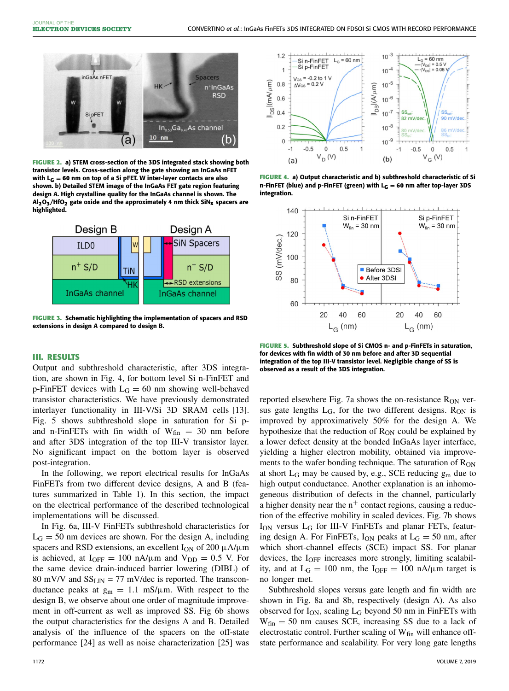

**FIGURE 2. a) STEM cross-section of the 3DS integrated stack showing both transistor levels. Cross-section along the gate showing an InGaAs nFET with L<sup>G</sup> = 60 nm on top of a Si pFET. W inter-layer contacts are also shown. b) Detailed STEM image of the InGaAs FET gate region featuring design A. High crystalline quality for the InGaAs channel is shown. The Al2O3/HfO2 gate oxide and the approximately 4 nm thick SiNx spacers are highlighted.**

<span id="page-2-1"></span>

<span id="page-2-0"></span>**FIGURE 3. Schematic highlighting the implementation of spacers and RSD extensions in design A compared to design B.**

### **III. RESULTS**

Output and subthreshold characteristic, after 3DS integration, are shown in Fig. [4,](#page-2-2) for bottom level Si n-FinFET and p-FinFET devices with  $L_G = 60$  nm showing well-behaved transistor characteristics. We have previously demonstrated interlayer functionality in III-V/Si 3D SRAM cells [\[13\]](#page-4-11). Fig. [5](#page-2-3) shows subthreshold slope in saturation for Si pand n-FinFETs with fin width of  $W_{fin} = 30$  nm before and after 3DS integration of the top III-V transistor layer. No significant impact on the bottom layer is observed post-integration.

In the following, we report electrical results for InGaAs FinFETs from two different device designs, A and B (features summarized in Table [1\)](#page-3-0). In this section, the impact on the electrical performance of the described technological implementations will be discussed.

In Fig. [6a](#page-3-1), III-V FinFETs subthreshold characteristics for  $L_G = 50$  nm devices are shown. For the design A, including spacers and RSD extensions, an excellent  $I_{ON}$  of 200  $\mu$ A/ $\mu$ m is achieved, at  $I_{OFF} = 100 \text{ nA/µm}$  and  $V_{DD} = 0.5 \text{ V}$ . For the same device drain-induced barrier lowering (DIBL) of 80 mV/V and  $SS_{LIN} = 77$  mV/dec is reported. The transconductance peaks at  $g_m = 1.1$  mS/ $\mu$ m. With respect to the design B, we observe about one order of magnitude improvement in off-current as well as improved SS. Fig 6b shows the output characteristics for the designs A and B. Detailed analysis of the influence of the spacers on the off-state performance [\[24\]](#page-4-17) as well as noise characterization [\[25\]](#page-4-18) was



<span id="page-2-2"></span>**FIGURE 4. a) Output characteristic and b) subthreshold characteristic of Si n-FinFET (blue) and p-FinFET (green) with L<sup>G</sup> = 60 nm after top-layer 3DS integration.**



<span id="page-2-3"></span>**FIGURE 5. Subthreshold slope of Si CMOS n- and p-FinFETs in saturation, for devices with fin width of 30 nm before and after 3D sequential integration of the top III-V transistor level. Negligible change of SS is observed as a result of the 3DS integration.**

reported elsewhere Fig. [7a](#page-3-2) shows the on-resistance  $R_{ON}$  versus gate lengths  $L_G$ , for the two different designs.  $R_{ON}$  is improved by approximatively 50% for the design A. We hypothesize that the reduction of  $R_{ON}$  could be explained by a lower defect density at the bonded InGaAs layer interface, yielding a higher electron mobility, obtained via improvements to the wafer bonding technique. The saturation of R<sub>ON</sub> at short  $L_G$  may be caused by, e.g., SCE reducing  $g_m$  due to high output conductance. Another explanation is an inhomogeneous distribution of defects in the channel, particularly a higher density near the  $n^+$  contact regions, causing a reduction of the effective mobility in scaled devices. Fig. [7b](#page-3-2) shows  $I_{ON}$  versus  $L_G$  for III-V FinFETs and planar FETs, featuring design A. For FinFETs,  $I_{ON}$  peaks at  $L_G = 50$  nm, after which short-channel effects (SCE) impact SS. For planar devices, the I<sub>OFF</sub> increases more strongly, limiting scalability, and at  $L_G = 100$  nm, the  $I_{OFF} = 100$  nA/ $\mu$ m target is no longer met.

Subthreshold slopes versus gate length and fin width are shown in Fig. [8a](#page-3-3) and 8b, respectively (design A). As also observed for  $I_{ON}$ , scaling  $L_G$  beyond 50 nm in FinFETs with  $W_{fin} = 50$  nm causes SCE, increasing SS due to a lack of electrostatic control. Further scaling of  $W_{fin}$  will enhance offstate performance and scalability. For very long gate lengths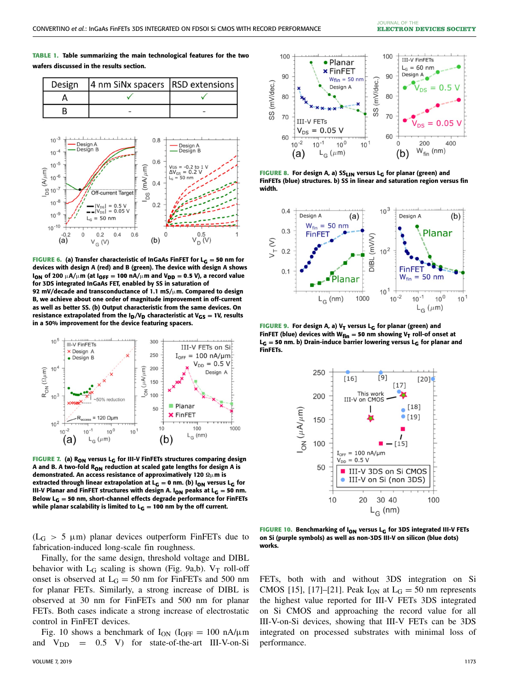<span id="page-3-0"></span>**TABLE 1. Table summarizing the main technological features for the two wafers discussed in the results section.**





<span id="page-3-1"></span>**devices with design A (red) and B (green). The device with design A shows**  $I_{ON}$  of 200  $\mu$ A/ $\mu$ m (at  $I_{OFF} = 100$  nA/ $\mu$ m and  $V_{DD} = 0.5$  V), a record value **for 3DS integrated InGaAs FET, enabled by SS in saturation of 92 mV/decade and transconductance of 1.1 mS/**µ**m. Compared to design B, we achieve about one order of magnitude improvement in off-current as well as better SS. (b) Output characteristic from the same devices. On resistance extrapolated from the**  $I_D/V_D$  **characteristic at**  $V_{GS} = 1V$ **, results in a 50% improvement for the device featuring spacers.**



<span id="page-3-2"></span>**FIGURE 7. (a) RON versus L<sup>G</sup> for III-V FinFETs structures comparing design A and B. A two-fold RON reduction at scaled gate lengths for design A is** demonstrated. An access resistance of approximatively 120  $\Omega\mu$ m is **extracted through linear extrapolation at L<sub>G</sub>** = 0 nm. (b) I<sub>ON</sub> versus L<sub>G</sub> for **III-V Planar and FinFET structures with design A. I<sub>ON</sub>** peaks at L<sub>G</sub> = 50 nm. **Below L<sup>G</sup> = 50 nm, short-channel effects degrade performance for FinFETs** while planar scalability is limited to  $L_G = 100$  nm by the off current.

 $(L_G > 5 \mu m)$  planar devices outperform FinFETs due to fabrication-induced long-scale fin roughness.

Finally, for the same design, threshold voltage and DIBL behavior with  $L_G$  scaling is shown (Fig. [9a](#page-3-4),b).  $V_T$  roll-off onset is observed at  $L_G = 50$  nm for FinFETs and 500 nm for planar FETs. Similarly, a strong increase of DIBL is observed at 30 nm for FinFETs and 500 nm for planar FETs. Both cases indicate a strong increase of electrostatic control in FinFET devices.

Fig. [10](#page-3-5) shows a benchmark of  $I_{ON}$  ( $I_{OFF} = 100$  nA/ $\mu$ m and  $V_{DD}$  = 0.5 V) for state-of-the-art III-V-on-Si



<span id="page-3-3"></span>**FIGURE 8. For design A, a) SSLIN versus L<sup>G</sup> for planar (green) and FinFETs (blue) structures. b) SS in linear and saturation region versus fin width.**



**FIGURE 9. For design A, a) V<sup>T</sup> versus L<sup>G</sup> for planar (green) and FinFET** (blue) devices with  $W_{fin} = 50$  nm showing  $V_T$  roll-of onset at **L<sup>G</sup> = 50 nm. b) Drain-induce barrier lowering versus L<sup>G</sup> for planar and FinFETs.**

<span id="page-3-4"></span>

<span id="page-3-5"></span>**FIGURE 10. Benchmarking of ION versus L<sup>G</sup> for 3DS integrated III-V FETs on Si (purple symbols) as well as non-3DS III-V on silicon (blue dots) works.**

FETs, both with and without 3DS integration on Si CMOS [\[15\]](#page-4-19), [\[17\]](#page-4-13)–[\[21\]](#page-4-14). Peak  $I_{ON}$  at  $L_G = 50$  nm represents the highest value reported for III-V FETs 3DS integrated on Si CMOS and approaching the record value for all III-V-on-Si devices, showing that III-V FETs can be 3DS integrated on processed substrates with minimal loss of performance.